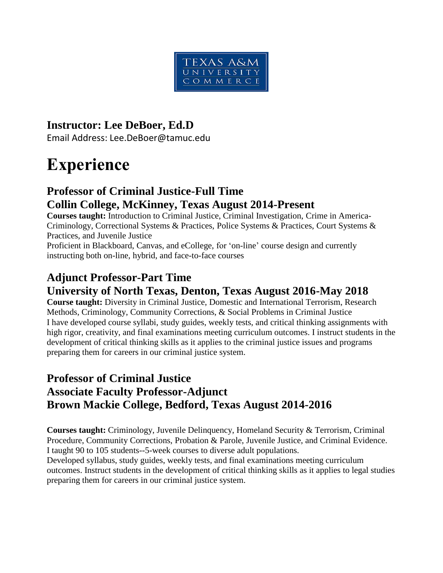

#### **Instructor: Lee DeBoer, Ed.D**

Email Address: Lee.DeBoer@tamuc.edu

# **Experience**

## **Professor of Criminal Justice-Full Time Collin College, McKinney, Texas August 2014-Present**

**Courses taught:** Introduction to Criminal Justice, Criminal Investigation, Crime in America-Criminology, Correctional Systems & Practices, Police Systems & Practices, Court Systems & Practices, and Juvenile Justice

Proficient in Blackboard, Canvas, and eCollege, for 'on-line' course design and currently instructing both on-line, hybrid, and face-to-face courses

# **Adjunct Professor-Part Time**

# **University of North Texas, Denton, Texas August 2016-May 2018**

**Course taught:** Diversity in Criminal Justice, Domestic and International Terrorism, Research Methods, Criminology, Community Corrections, & Social Problems in Criminal Justice I have developed course syllabi, study guides, weekly tests, and critical thinking assignments with high rigor, creativity, and final examinations meeting curriculum outcomes. I instruct students in the development of critical thinking skills as it applies to the criminal justice issues and programs preparing them for careers in our criminal justice system.

# **Professor of Criminal Justice Associate Faculty Professor-Adjunct Brown Mackie College, Bedford, Texas August 2014-2016**

**Courses taught:** Criminology, Juvenile Delinquency, Homeland Security & Terrorism, Criminal Procedure, Community Corrections, Probation & Parole, Juvenile Justice, and Criminal Evidence. I taught 90 to 105 students--5-week courses to diverse adult populations.

Developed syllabus, study guides, weekly tests, and final examinations meeting curriculum outcomes. Instruct students in the development of critical thinking skills as it applies to legal studies preparing them for careers in our criminal justice system.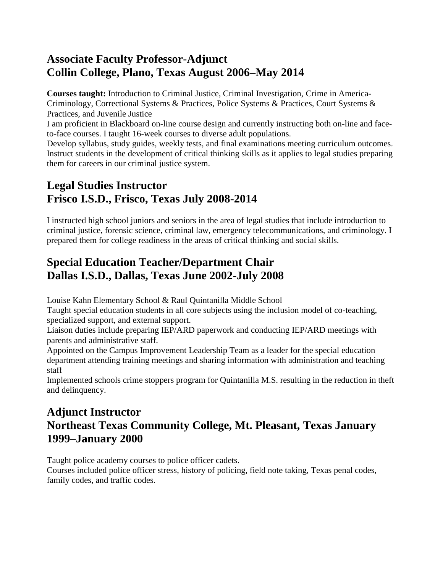#### **Associate Faculty Professor-Adjunct Collin College, Plano, Texas August 2006–May 2014**

**Courses taught:** Introduction to Criminal Justice, Criminal Investigation, Crime in America-Criminology, Correctional Systems & Practices, Police Systems & Practices, Court Systems & Practices, and Juvenile Justice

I am proficient in Blackboard on-line course design and currently instructing both on-line and faceto-face courses. I taught 16-week courses to diverse adult populations.

Develop syllabus, study guides, weekly tests, and final examinations meeting curriculum outcomes. Instruct students in the development of critical thinking skills as it applies to legal studies preparing them for careers in our criminal justice system.

# **Legal Studies Instructor Frisco I.S.D., Frisco, Texas July 2008-2014**

I instructed high school juniors and seniors in the area of legal studies that include introduction to criminal justice, forensic science, criminal law, emergency telecommunications, and criminology. I prepared them for college readiness in the areas of critical thinking and social skills.

# **Special Education Teacher/Department Chair Dallas I.S.D., Dallas, Texas June 2002-July 2008**

Louise Kahn Elementary School & Raul Quintanilla Middle School

Taught special education students in all core subjects using the inclusion model of co-teaching, specialized support, and external support.

Liaison duties include preparing IEP/ARD paperwork and conducting IEP/ARD meetings with parents and administrative staff.

Appointed on the Campus Improvement Leadership Team as a leader for the special education department attending training meetings and sharing information with administration and teaching staff

Implemented schools crime stoppers program for Quintanilla M.S. resulting in the reduction in theft and delinquency.

# **Adjunct Instructor Northeast Texas Community College, Mt. Pleasant, Texas January 1999–January 2000**

Taught police academy courses to police officer cadets.

Courses included police officer stress, history of policing, field note taking, Texas penal codes, family codes, and traffic codes.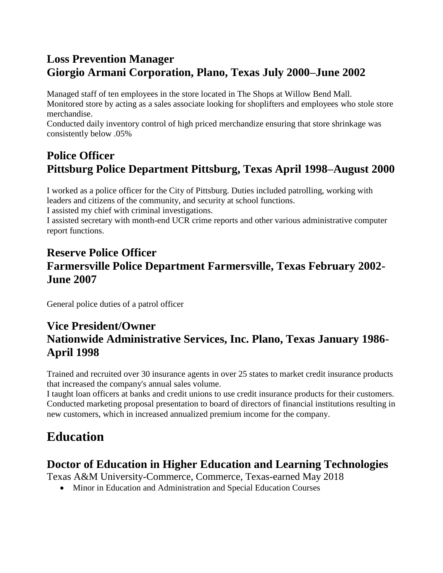# **Loss Prevention Manager Giorgio Armani Corporation, Plano, Texas July 2000–June 2002**

Managed staff of ten employees in the store located in The Shops at Willow Bend Mall. Monitored store by acting as a sales associate looking for shoplifters and employees who stole store merchandise.

Conducted daily inventory control of high priced merchandize ensuring that store shrinkage was consistently below .05%

# **Police Officer Pittsburg Police Department Pittsburg, Texas April 1998–August 2000**

I worked as a police officer for the City of Pittsburg. Duties included patrolling, working with leaders and citizens of the community, and security at school functions. I assisted my chief with criminal investigations.

I assisted secretary with month-end UCR crime reports and other various administrative computer report functions.

# **Reserve Police Officer Farmersville Police Department Farmersville, Texas February 2002- June 2007**

General police duties of a patrol officer

# **Vice President/Owner Nationwide Administrative Services, Inc. Plano, Texas January 1986- April 1998**

Trained and recruited over 30 insurance agents in over 25 states to market credit insurance products that increased the company's annual sales volume.

I taught loan officers at banks and credit unions to use credit insurance products for their customers. Conducted marketing proposal presentation to board of directors of financial institutions resulting in new customers, which in increased annualized premium income for the company.

# **Education**

#### **Doctor of Education in Higher Education and Learning Technologies**

Texas A&M University-Commerce, Commerce, Texas-earned May 2018

Minor in Education and Administration and Special Education Courses